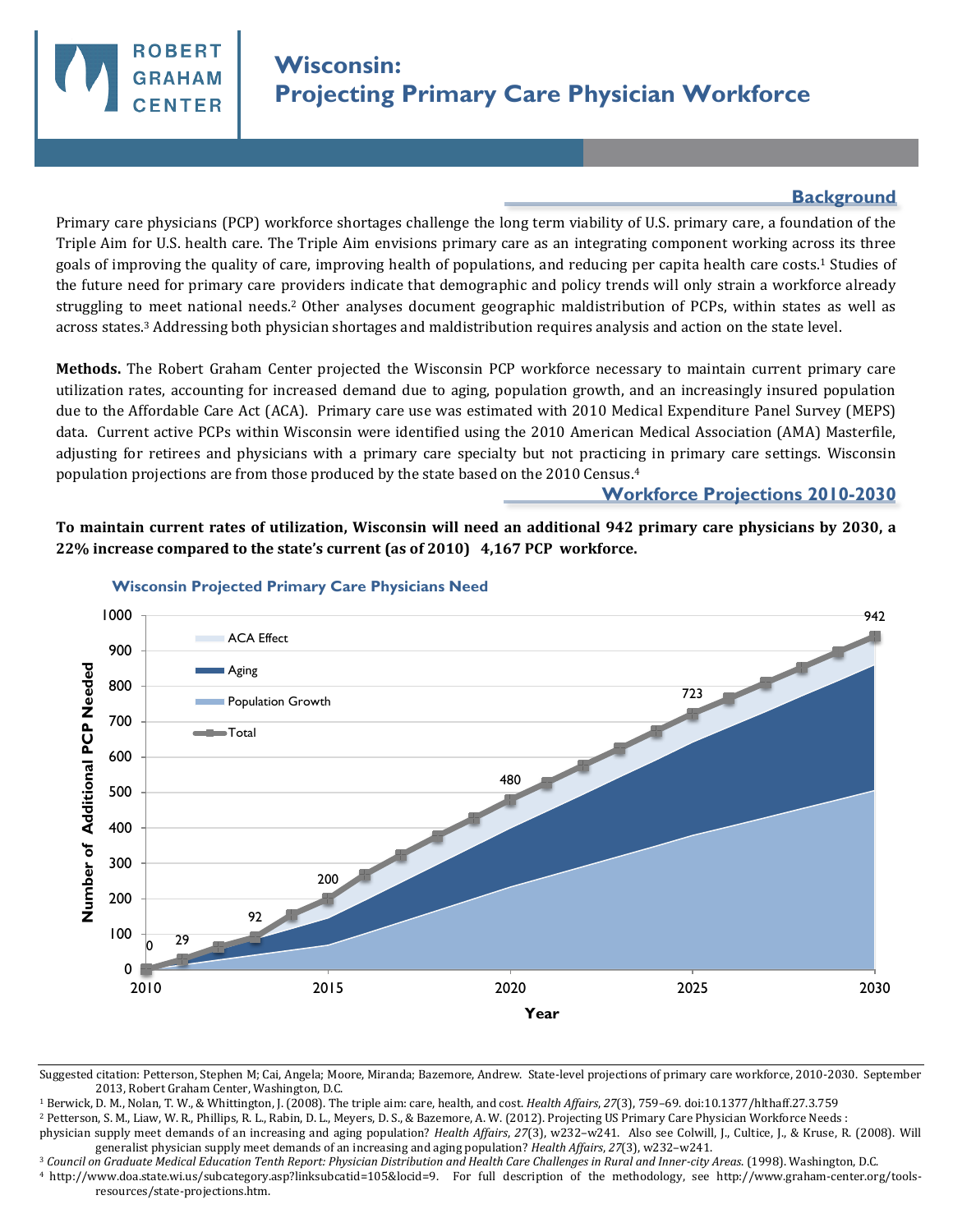

## **Background**

Primary care physicians (PCP) workforce shortages challenge the long term viability of U.S. primary care, a foundation of the Triple Aim for U.S. health care. The Triple Aim envisions primary care as an integrating component working across its three goals of improving the quality of care, improving health of populations, and reducing per capita health care costs.1 Studies of the future need for primary care providers indicate that demographic and policy trends will only strain a workforce already struggling to meet national needs.2 Other analyses document geographic maldistribution of PCPs, within states as well as across states.3 Addressing both physician shortages and maldistribution requires analysis and action on the state level.

**Methods.** The Robert Graham Center projected the Wisconsin PCP workforce necessary to maintain current primary care utilization rates, accounting for increased demand due to aging, population growth, and an increasingly insured population due to the Affordable Care Act (ACA). Primary care use was estimated with 2010 Medical Expenditure Panel Survey (MEPS) data. Current active PCPs within Wisconsin were identified using the 2010 American Medical Association (AMA) Masterfile, adjusting for retirees and physicians with a primary care specialty but not practicing in primary care settings. Wisconsin population projections are from those produced by the state based on the 2010 Census.<sup>4</sup>

## **Workforce Projections 2010-2030**

**To maintain current rates of utilization, Wisconsin will need an additional 942 primary care physicians by 2030, a 22% increase compared to the state's current (as of 2010) 4,167 PCP workforce.** 



## **Wisconsin Projected Primary Care Physicians Need**

Suggested citation: Petterson, Stephen M; Cai, Angela; Moore, Miranda; Bazemore, Andrew. State-level projections of primary care workforce, 2010-2030. September 2013, Robert Graham Center, Washington, D.C.

<sup>1</sup> Berwick, D. M., Nolan, T. W., & Whittington, J. (2008). The triple aim: care, health, and cost. *Health Affairs*, *27*(3), 759–69. doi:10.1377/hlthaff.27.3.759

<sup>2</sup> Petterson, S. M., Liaw, W. R., Phillips, R. L., Rabin, D. L., Meyers, D. S., & Bazemore, A. W. (2012). Projecting US Primary Care Physician Workforce Needs :

physician supply meet demands of an increasing and aging population? *Health Affairs*, *27*(3), w232–w241. Also see Colwill, J., Cultice, J., & Kruse, R. (2008). Will generalist physician supply meet demands of an increasing and aging population? *Health Affairs*, *27*(3), w232–w241.

<sup>3</sup> *Council on Graduate Medical Education Tenth Report: Physician Distribution and Health Care Challenges in Rural and Inner-city Areas*. (1998). Washington, D.C.

<sup>4</sup>http://www.doa.state.wi.us/subcategory.asp?linksubcatid=105&locid=9. For full description of the methodology, see http://www.graham-center.org/toolsresources/state-projections.htm.